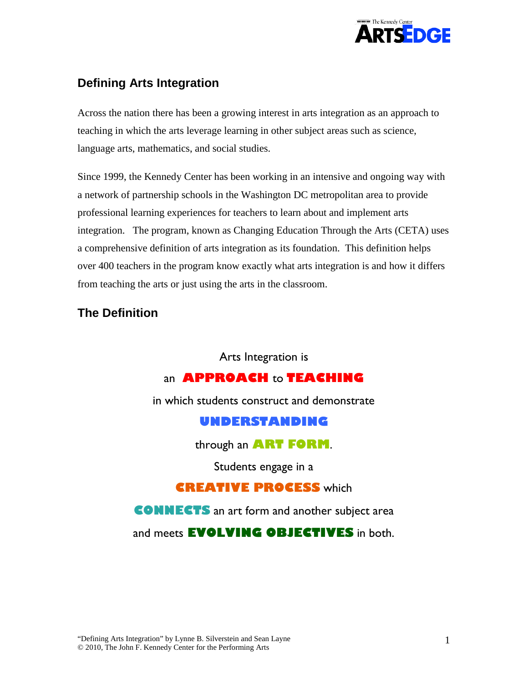

## **Defining Arts Integration**

Across the nation there has been a growing interest in arts integration as an approach to teaching in which the arts leverage learning in other subject areas such as science, language arts, mathematics, and social studies.

Since 1999, the Kennedy Center has been working in an intensive and ongoing way with a network of partnership schools in the Washington DC metropolitan area to provide professional learning experiences for teachers to learn about and implement arts integration. The program, known as Changing Education Through the Arts (CETA) uses a comprehensive definition of arts integration as its foundation. This definition helps over 400 teachers in the program know exactly what arts integration is and how it differs from teaching the arts or just using the arts in the classroom.

## **The Definition**

Arts Integration is

## an **APPROACH** to **TEACHING**

in which students construct and demonstrate

## **UNDERSTANDING**

through an **ART FORM**.

Students engage in a

## **CREATIVE PROCESS** which

**CONNECTS** an art form and another subject area

and meets **EVOLVING OBJECTIVES** in both.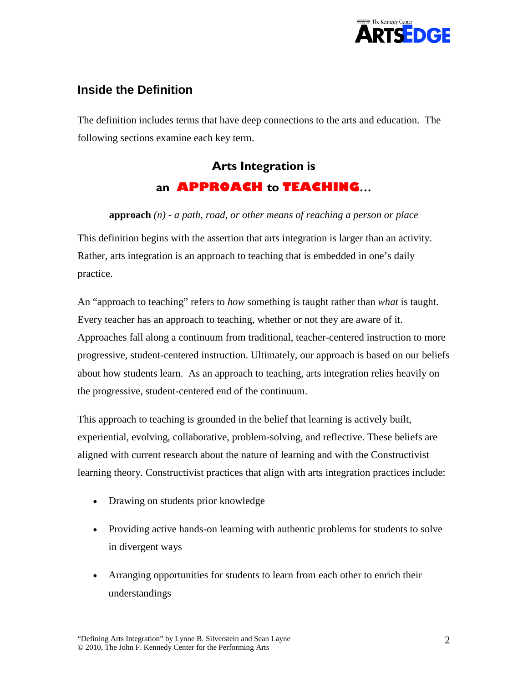

## **Inside the Definition**

The definition includes terms that have deep connections to the arts and education. The following sections examine each key term.

## **Arts Integration is an APPROACH to TEACHING…**

### **approach** *(n) - a path, road, or other means of reaching a person or place*

This definition begins with the assertion that arts integration is larger than an activity. Rather, arts integration is an approach to teaching that is embedded in one's daily practice.

An "approach to teaching" refers to *how* something is taught rather than *what* is taught. Every teacher has an approach to teaching, whether or not they are aware of it. Approaches fall along a continuum from traditional, teacher-centered instruction to more progressive, student-centered instruction. Ultimately, our approach is based on our beliefs about how students learn. As an approach to teaching, arts integration relies heavily on the progressive, student-centered end of the continuum.

This approach to teaching is grounded in the belief that learning is actively built, experiential, evolving, collaborative, problem-solving, and reflective. These beliefs are aligned with current research about the nature of learning and with the Constructivist learning theory. Constructivist practices that align with arts integration practices include:

- Drawing on students prior knowledge
- Providing active hands-on learning with authentic problems for students to solve in divergent ways
- Arranging opportunities for students to learn from each other to enrich their understandings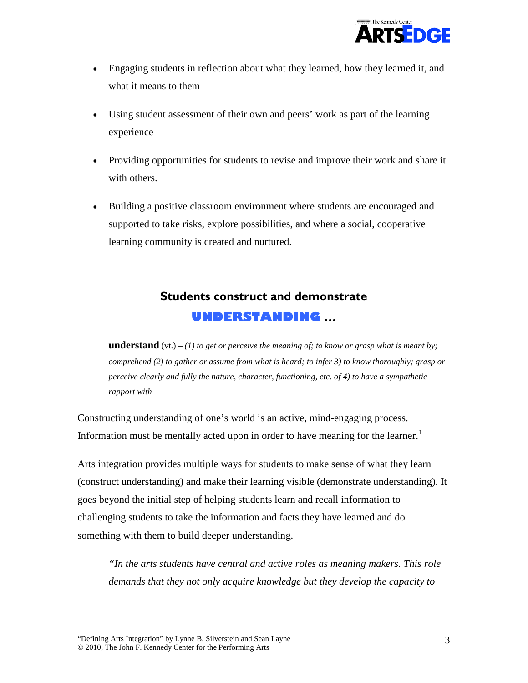

- Engaging students in reflection about what they learned, how they learned it, and what it means to them
- Using student assessment of their own and peers' work as part of the learning experience
- Providing opportunities for students to revise and improve their work and share it with others.
- Building a positive classroom environment where students are encouraged and supported to take risks, explore possibilities, and where a social, cooperative learning community is created and nurtured.

## **Students construct and demonstrate UNDERSTANDING …**

**understand** (vt.)  $- (1)$  to get or perceive the meaning of; to know or grasp what is meant by; *comprehend (2) to gather or assume from what is heard; to infer 3) to know thoroughly; grasp or perceive clearly and fully the nature, character, functioning, etc. of 4) to have a sympathetic rapport with*

Constructing understanding of one's world is an active, mind-engaging process. Information must be mentally acted upon in order to have meaning for the learner.<sup>[1](#page-9-0)</sup>

Arts integration provides multiple ways for students to make sense of what they learn (construct understanding) and make their learning visible (demonstrate understanding). It goes beyond the initial step of helping students learn and recall information to challenging students to take the information and facts they have learned and do something with them to build deeper understanding.

*"In the arts students have central and active roles as meaning makers. This role demands that they not only acquire knowledge but they develop the capacity to*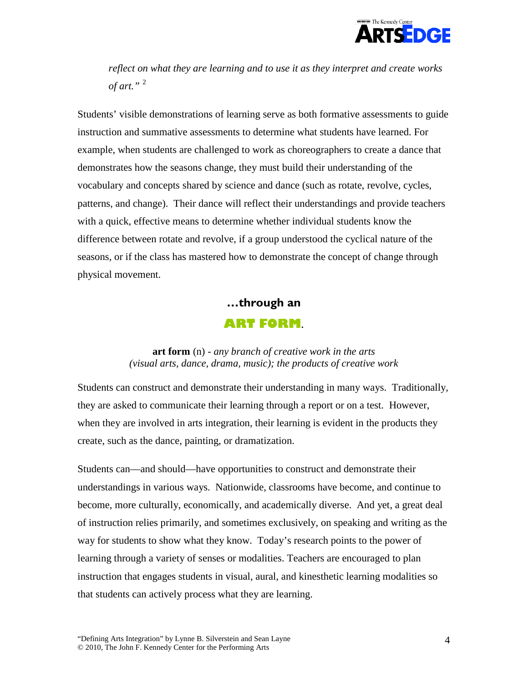

*reflect on what they are learning and to use it as they interpret and create works of art."* [2](#page-9-1)

Students' visible demonstrations of learning serve as both formative assessments to guide instruction and summative assessments to determine what students have learned. For example, when students are challenged to work as choreographers to create a dance that demonstrates how the seasons change, they must build their understanding of the vocabulary and concepts shared by science and dance (such as rotate, revolve, cycles, patterns, and change). Their dance will reflect their understandings and provide teachers with a quick, effective means to determine whether individual students know the difference between rotate and revolve, if a group understood the cyclical nature of the seasons, or if the class has mastered how to demonstrate the concept of change through physical movement.

# **…through an ART FORM**.

#### **art form** (n) - *any branch of creative work in the arts (visual arts, dance, drama, music); the products of creative work*

Students can construct and demonstrate their understanding in many ways. Traditionally, they are asked to communicate their learning through a report or on a test. However, when they are involved in arts integration, their learning is evident in the products they create, such as the dance, painting, or dramatization.

Students can—and should—have opportunities to construct and demonstrate their understandings in various ways. Nationwide, classrooms have become, and continue to become, more culturally, economically, and academically diverse. And yet, a great deal of instruction relies primarily, and sometimes exclusively, on speaking and writing as the way for students to show what they know. Today's research points to the power of learning through a variety of senses or modalities. Teachers are encouraged to plan instruction that engages students in visual, aural, and kinesthetic learning modalities so that students can actively process what they are learning.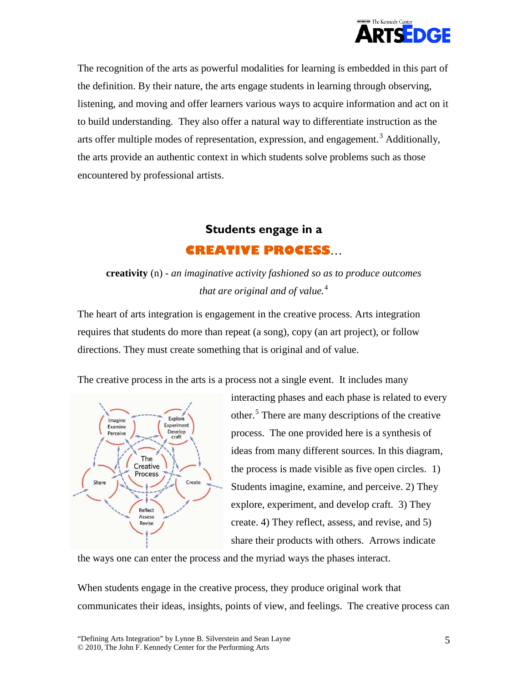

The recognition of the arts as powerful modalities for learning is embedded in this part of the definition. By their nature, the arts engage students in learning through observing, listening, and moving and offer learners various ways to acquire information and act on it to build understanding. They also offer a natural way to differentiate instruction as the arts offer multiple modes of representation, expression, and engagement.<sup>[3](#page-9-2)</sup> Additionally, the arts provide an authentic context in which students solve problems such as those encountered by professional artists.

# **Students engage in a CREATIVE PROCESS**…

## **creativity** (n) - *an imaginative activity fashioned so as to produce outcomes that are original and of value.*[4](#page-9-3)

The heart of arts integration is engagement in the creative process. Arts integration requires that students do more than repeat (a song), copy (an art project), or follow directions. They must create something that is original and of value.

The creative process in the arts is a process not a single event. It includes many



interacting phases and each phase is related to every other.<sup>[5](#page-9-4)</sup> There are many descriptions of the creative process. The one provided here is a synthesis of ideas from many different sources. In this diagram, the process is made visible as five open circles. 1) Students imagine, examine, and perceive. 2) They explore, experiment, and develop craft. 3) They create. 4) They reflect, assess, and revise, and 5) share their products with others. Arrows indicate

the ways one can enter the process and the myriad ways the phases interact.

When students engage in the creative process, they produce original work that communicates their ideas, insights, points of view, and feelings. The creative process can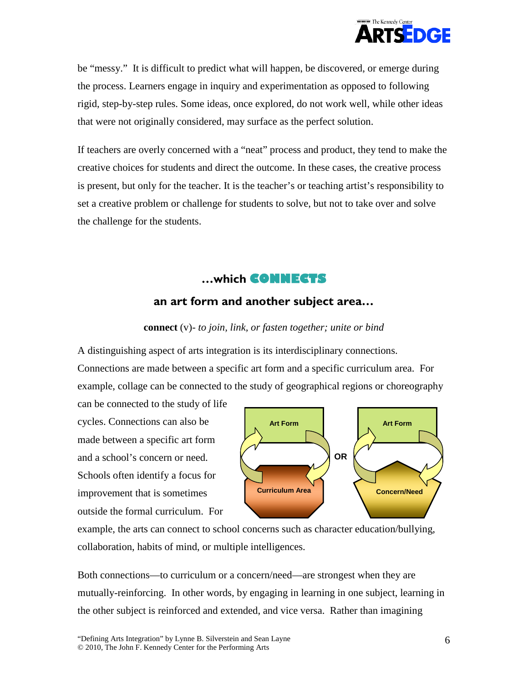

be "messy." It is difficult to predict what will happen, be discovered, or emerge during the process. Learners engage in inquiry and experimentation as opposed to following rigid, step-by-step rules. Some ideas, once explored, do not work well, while other ideas that were not originally considered, may surface as the perfect solution.

If teachers are overly concerned with a "neat" process and product, they tend to make the creative choices for students and direct the outcome. In these cases, the creative process is present, but only for the teacher. It is the teacher's or teaching artist's responsibility to set a creative problem or challenge for students to solve, but not to take over and solve the challenge for the students.

### **…which CONNECTS**

### **an art form and another subject area…**

#### **connect** (v)- *to join, link, or fasten together; unite or bind*

A distinguishing aspect of arts integration is its interdisciplinary connections. Connections are made between a specific art form and a specific curriculum area. For example, collage can be connected to the study of geographical regions or choreography

can be connected to the study of life cycles. Connections can also be made between a specific art form and a school's concern or need. Schools often identify a focus for improvement that is sometimes outside the formal curriculum. For



example, the arts can connect to school concerns such as character education/bullying, collaboration, habits of mind, or multiple intelligences.

Both connections—to curriculum or a concern/need—are strongest when they are mutually-reinforcing. In other words, by engaging in learning in one subject, learning in the other subject is reinforced and extended, and vice versa. Rather than imagining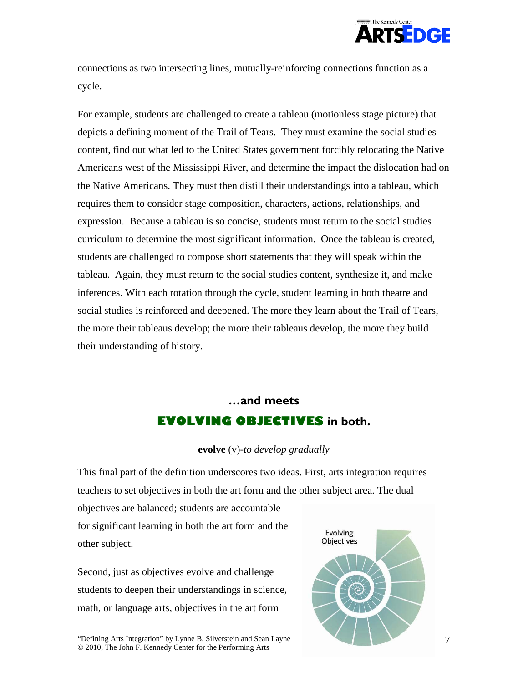

connections as two intersecting lines, mutually-reinforcing connections function as a cycle.

For example, students are challenged to create a tableau (motionless stage picture) that depicts a defining moment of the Trail of Tears. They must examine the social studies content, find out what led to the United States government forcibly relocating the Native Americans west of the Mississippi River, and determine the impact the dislocation had on the Native Americans. They must then distill their understandings into a tableau, which requires them to consider stage composition, characters, actions, relationships, and expression. Because a tableau is so concise, students must return to the social studies curriculum to determine the most significant information. Once the tableau is created, students are challenged to compose short statements that they will speak within the tableau. Again, they must return to the social studies content, synthesize it, and make inferences. With each rotation through the cycle, student learning in both theatre and social studies is reinforced and deepened. The more they learn about the Trail of Tears, the more their tableaus develop; the more their tableaus develop, the more they build their understanding of history.

# **…and meets EVOLVING OBJECTIVES in both.**

#### **evolve** (v)*-to develop gradually*

This final part of the definition underscores two ideas. First, arts integration requires teachers to set objectives in both the art form and the other subject area. The dual

objectives are balanced; students are accountable for significant learning in both the art form and the other subject.

Second, just as objectives evolve and challenge students to deepen their understandings in science, math, or language arts, objectives in the art form

Evolving **Objectives** 

"Defining Arts Integration" by Lynne B. Silverstein and Sean Layne © 2010, The John F. Kennedy Center for the Performing Arts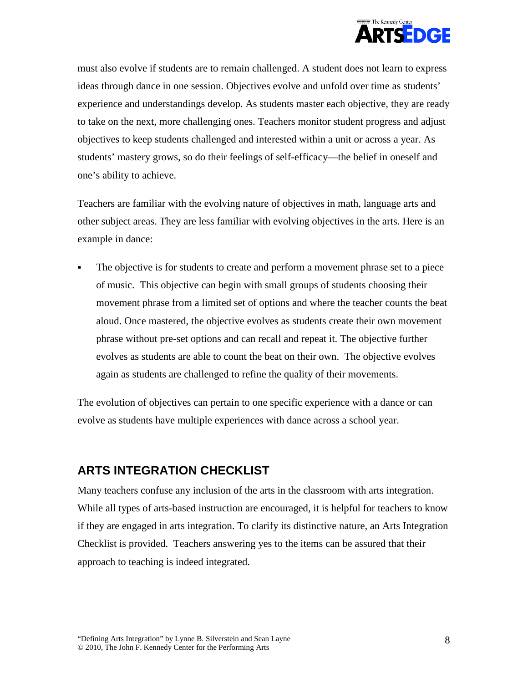

must also evolve if students are to remain challenged. A student does not learn to express ideas through dance in one session. Objectives evolve and unfold over time as students' experience and understandings develop. As students master each objective, they are ready to take on the next, more challenging ones. Teachers monitor student progress and adjust objectives to keep students challenged and interested within a unit or across a year. As students' mastery grows, so do their feelings of self-efficacy—the belief in oneself and one's ability to achieve.

Teachers are familiar with the evolving nature of objectives in math, language arts and other subject areas. They are less familiar with evolving objectives in the arts. Here is an example in dance:

 The objective is for students to create and perform a movement phrase set to a piece of music. This objective can begin with small groups of students choosing their movement phrase from a limited set of options and where the teacher counts the beat aloud. Once mastered, the objective evolves as students create their own movement phrase without pre-set options and can recall and repeat it. The objective further evolves as students are able to count the beat on their own. The objective evolves again as students are challenged to refine the quality of their movements.

The evolution of objectives can pertain to one specific experience with a dance or can evolve as students have multiple experiences with dance across a school year.

### **ARTS INTEGRATION CHECKLIST**

Many teachers confuse any inclusion of the arts in the classroom with arts integration. While all types of arts-based instruction are encouraged, it is helpful for teachers to know if they are engaged in arts integration. To clarify its distinctive nature, an Arts Integration Checklist is provided. Teachers answering yes to the items can be assured that their approach to teaching is indeed integrated.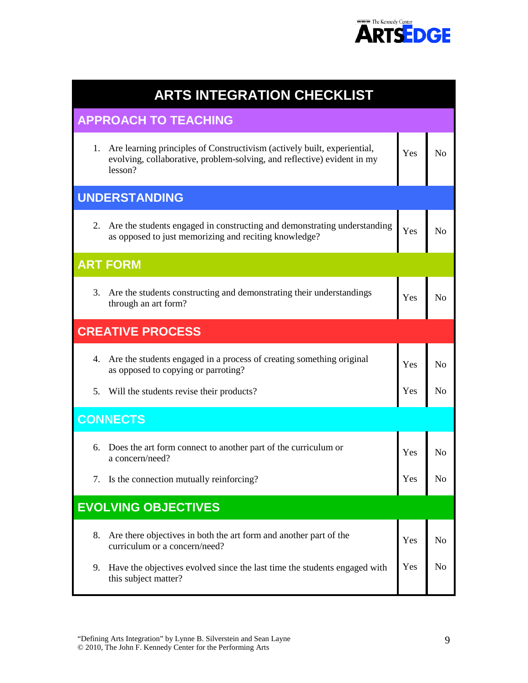

| <b>ARTS INTEGRATION CHECKLIST</b> |                                                                                                                                                                   |     |                |
|-----------------------------------|-------------------------------------------------------------------------------------------------------------------------------------------------------------------|-----|----------------|
| <b>APPROACH TO TEACHING</b>       |                                                                                                                                                                   |     |                |
|                                   | 1. Are learning principles of Constructivism (actively built, experiential,<br>evolving, collaborative, problem-solving, and reflective) evident in my<br>lesson? | Yes | N <sub>o</sub> |
| <b>UNDERSTANDING</b>              |                                                                                                                                                                   |     |                |
|                                   | 2. Are the students engaged in constructing and demonstrating understanding<br>as opposed to just memorizing and reciting knowledge?                              | Yes | N <sub>o</sub> |
|                                   | <b>ART FORM</b>                                                                                                                                                   |     |                |
| 3.                                | Are the students constructing and demonstrating their understandings<br>through an art form?                                                                      | Yes | N <sub>o</sub> |
| <b>CREATIVE PROCESS</b>           |                                                                                                                                                                   |     |                |
|                                   | 4. Are the students engaged in a process of creating something original<br>as opposed to copying or parroting?                                                    | Yes | N <sub>o</sub> |
|                                   | 5. Will the students revise their products?                                                                                                                       | Yes | N <sub>o</sub> |
| <b>CONNECTS</b>                   |                                                                                                                                                                   |     |                |
| 6.                                | Does the art form connect to another part of the curriculum or<br>a concern/need?                                                                                 | Yes | Nο             |
|                                   | 7. Is the connection mutually reinforcing?                                                                                                                        | Yes | No             |
| <b>EVOLVING OBJECTIVES</b>        |                                                                                                                                                                   |     |                |
| 8.                                | Are there objectives in both the art form and another part of the<br>curriculum or a concern/need?                                                                | Yes | N <sub>0</sub> |
| 9.                                | Have the objectives evolved since the last time the students engaged with<br>this subject matter?                                                                 | Yes | No             |